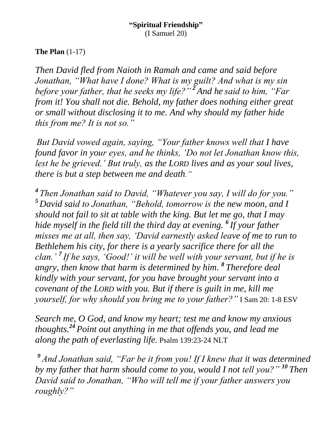### **The Plan** (1-17)

*Then David fled from Naioth in Ramah and came and said before Jonathan, "What have I done? What is my guilt? And what is my sin before your father, that he seeks my life?" <sup>2</sup> And he said to him, "Far from it! You shall not die. Behold, my father does nothing either great or small without disclosing it to me. And why should my father hide this from me? It is not so."*

*But David vowed again, saying, "Your father knows well that I have found favor in your eyes, and he thinks, 'Do not let Jonathan know this, lest he be grieved.' But truly, as the LORD lives and as your soul lives, there is but a step between me and death."*

*4 Then Jonathan said to David, "Whatever you say, I will do for you." <sup>5</sup> David said to Jonathan, "Behold, tomorrow is the new moon, and I should not fail to sit at table with the king. But let me go, that I may hide myself in the field till the third day at evening. <sup>6</sup> If your father misses me at all, then say, 'David earnestly asked leave of me to run to Bethlehem his city, for there is a yearly sacrifice there for all the clan.' <sup>7</sup> If he says, 'Good!' it will be well with your servant, but if he is angry, then know that harm is determined by him. <sup>8</sup> Therefore deal kindly with your servant, for you have brought your servant into a covenant of the LORD with you. But if there is guilt in me, kill me yourself, for why should you bring me to your father?"* I Sam 20: 1-8 ESV

*Search me, O God, and know my heart; test me and know my anxious thoughts.<sup>24</sup> Point out anything in me that offends you, and lead me along the path of everlasting life.* Psalm 139:23-24 NLT

*<sup>9</sup> And Jonathan said, "Far be it from you! If I knew that it was determined by my father that harm should come to you, would I not tell you?" <sup>10</sup> Then David said to Jonathan, "Who will tell me if your father answers you roughly?"*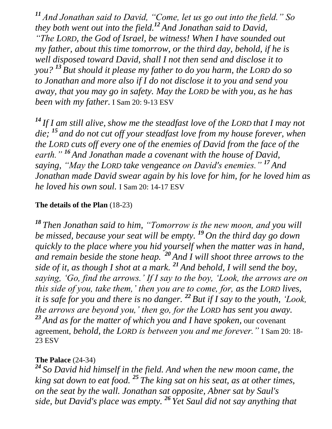*<sup>11</sup> And Jonathan said to David, "Come, let us go out into the field." So they both went out into the field.<sup>12</sup> And Jonathan said to David, "The LORD, the God of Israel, be witness! When I have sounded out my father, about this time tomorrow, or the third day, behold, if he is well disposed toward David, shall I not then send and disclose it to you? <sup>13</sup> But should it please my father to do you harm, the LORD do so to Jonathan and more also if I do not disclose it to you and send you away, that you may go in safety. May the LORD be with you, as he has been with my father.* I Sam 20: 9-13 ESV

*<sup>14</sup> If I am still alive, show me the steadfast love of the LORD that I may not die; <sup>15</sup> and do not cut off your steadfast love from my house forever, when the LORD cuts off every one of the enemies of David from the face of the earth." <sup>16</sup> And Jonathan made a covenant with the house of David, saying, "May the LORD take vengeance on David's enemies." <sup>17</sup> And Jonathan made David swear again by his love for him, for he loved him as he loved his own soul.* I Sam 20: 14-17 ESV

#### **The details of the Plan** (18-23)

*<sup>18</sup> Then Jonathan said to him, "Tomorrow is the new moon, and you will be missed, because your seat will be empty. <sup>19</sup> On the third day go down quickly to the place where you hid yourself when the matter was in hand, and remain beside the stone heap. <sup>20</sup> And I will shoot three arrows to the side of it, as though I shot at a mark. <sup>21</sup> And behold, I will send the boy, saying, 'Go, find the arrows.' If I say to the boy, 'Look, the arrows are on this side of you, take them,' then you are to come, for, as the LORD lives, it is safe for you and there is no danger. <sup>22</sup> But if I say to the youth, 'Look, the arrows are beyond you,' then go, for the LORD has sent you away. <sup>23</sup> And as for the matter of which you and I have spoken,* our covenant agreement, *behold, the LORD is between you and me forever."* I Sam 20: 18- 23 ESV

## **The Palace** (24-34)

*<sup>24</sup> So David hid himself in the field. And when the new moon came, the king sat down to eat food. <sup>25</sup> The king sat on his seat, as at other times, on the seat by the wall. Jonathan sat opposite, Abner sat by Saul's side, but David's place was empty. <sup>26</sup> Yet Saul did not say anything that*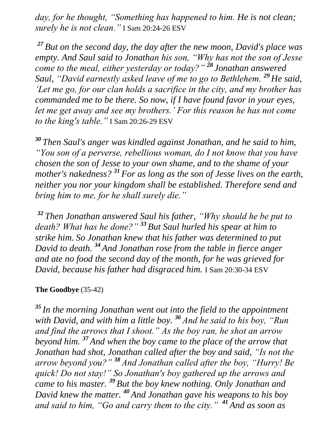*day, for he thought, "Something has happened to him. He is not clean; surely he is not clean."* I Sam 20:24-26 ESV

*<sup>27</sup> But on the second day, the day after the new moon, David's place was empty. And Saul said to Jonathan his son, "Why has not the son of Jesse come to the meal, either yesterday or today?" <sup>28</sup> Jonathan answered Saul, "David earnestly asked leave of me to go to Bethlehem. <sup>29</sup> He said, 'Let me go, for our clan holds a sacrifice in the city, and my brother has commanded me to be there. So now, if I have found favor in your eyes, let me get away and see my brothers.' For this reason he has not come to the king's table."* I Sam 20:26-29 ESV

*<sup>30</sup> Then Saul's anger was kindled against Jonathan, and he said to him, "You son of a perverse, rebellious woman, do I not know that you have chosen the son of Jesse to your own shame, and to the shame of your mother's nakedness? <sup>31</sup> For as long as the son of Jesse lives on the earth, neither you nor your kingdom shall be established. Therefore send and bring him to me, for he shall surely die."*

*<sup>32</sup> Then Jonathan answered Saul his father, "Why should he be put to death? What has he done?" <sup>33</sup> But Saul hurled his spear at him to strike him. So Jonathan knew that his father was determined to put David to death. <sup>34</sup> And Jonathan rose from the table in fierce anger and ate no food the second day of the month, for he was grieved for David, because his father had disgraced him.* I Sam 20:30-34 ESV

#### **The Goodbye** (35-42)

*<sup>35</sup> In the morning Jonathan went out into the field to the appointment with David, and with him a little boy. <sup>36</sup> And he said to his boy, "Run and find the arrows that I shoot." As the boy ran, he shot an arrow beyond him. <sup>37</sup> And when the boy came to the place of the arrow that Jonathan had shot, Jonathan called after the boy and said, "Is not the arrow beyond you?" <sup>38</sup> And Jonathan called after the boy, "Hurry! Be quick! Do not stay!" So Jonathan's boy gathered up the arrows and came to his master. <sup>39</sup> But the boy knew nothing. Only Jonathan and David knew the matter. <sup>40</sup> And Jonathan gave his weapons to his boy and said to him, "Go and carry them to the city." <sup>41</sup> And as soon as*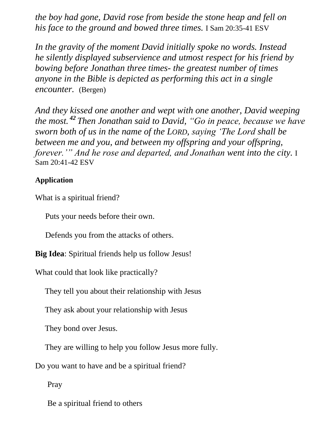*the boy had gone, David rose from beside the stone heap and fell on his face to the ground and bowed three times.* I Sam 20:35-41 ESV

*In the gravity of the moment David initially spoke no words. Instead he silently displayed subservience and utmost respect for his friend by bowing before Jonathan three times- the greatest number of times anyone in the Bible is depicted as performing this act in a single encounter.* (Bergen)

*And they kissed one another and wept with one another, David weeping the most. <sup>42</sup> Then Jonathan said to David, "Go in peace, because we have sworn both of us in the name of the LORD, saying 'The Lord shall be between me and you, and between my offspring and your offspring, forever.'" And he rose and departed, and Jonathan went into the city.* I Sam 20:41-42 ESV

### **Application**

What is a spiritual friend?

Puts your needs before their own.

Defends you from the attacks of others.

**Big Idea**: Spiritual friends help us follow Jesus!

What could that look like practically?

They tell you about their relationship with Jesus

They ask about your relationship with Jesus

They bond over Jesus.

They are willing to help you follow Jesus more fully.

Do you want to have and be a spiritual friend?

Pray

Be a spiritual friend to others